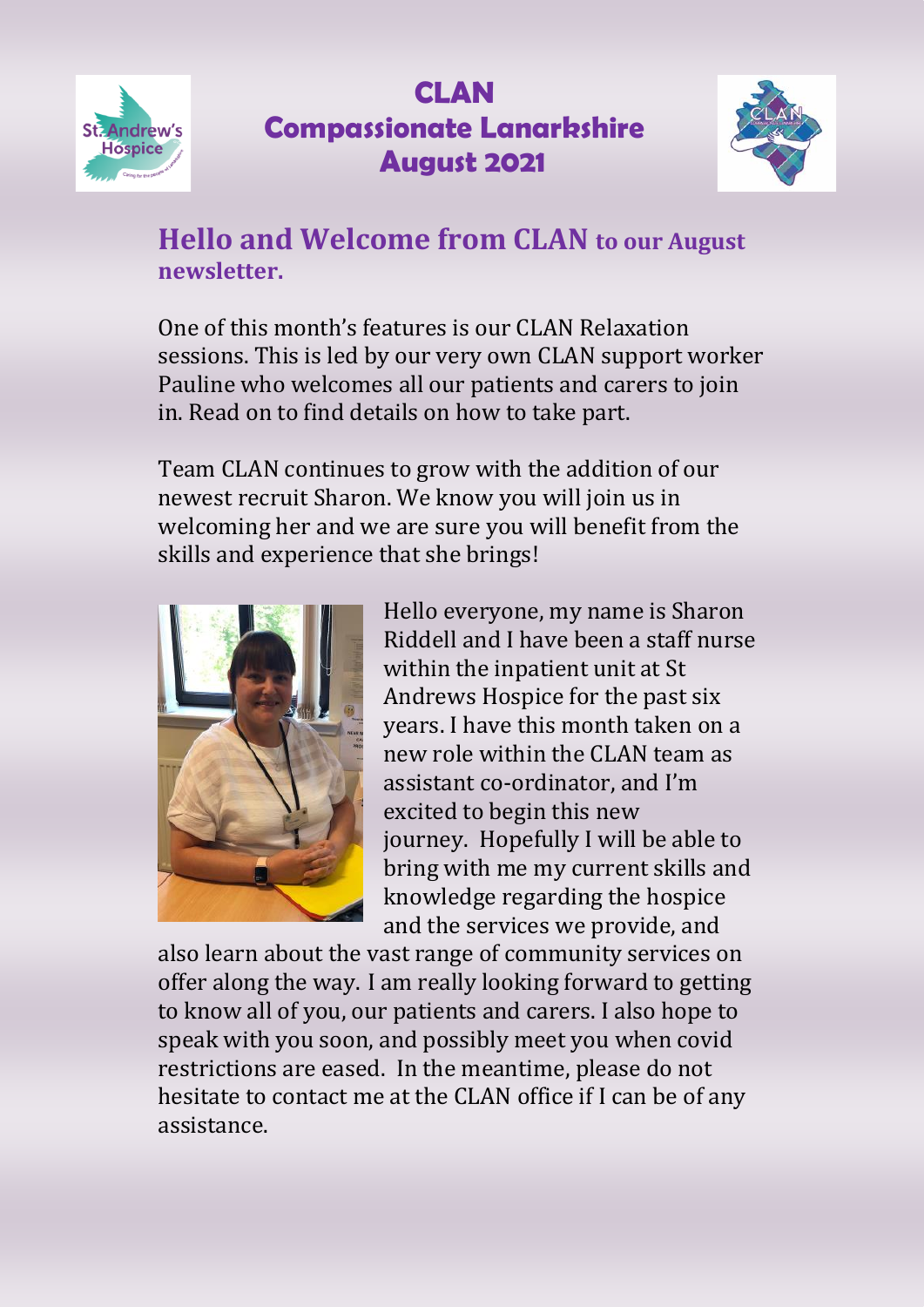



#### **Hello and Welcome from CLAN to our August newsletter.**

One of this month's features is our CLAN Relaxation sessions. This is led by our very own CLAN support worker Pauline who welcomes all our patients and carers to join in. Read on to find details on how to take part.

Team CLAN continues to grow with the addition of our newest recruit Sharon. We know you will join us in welcoming her and we are sure you will benefit from the skills and experience that she brings!



Hello everyone, my name is Sharon Riddell and I have been a staff nurse within the inpatient unit at St Andrews Hospice for the past six years. I have this month taken on a new role within the CLAN team as assistant co-ordinator, and I'm excited to begin this new journey. Hopefully I will be able to bring with me my current skills and knowledge regarding the hospice and the services we provide, and

also learn about the vast range of community services on offer along the way. I am really looking forward to getting to know all of you, our patients and carers. I also hope to speak with you soon, and possibly meet you when covid restrictions are eased. In the meantime, please do not hesitate to contact me at the CLAN office if I can be of any assistance.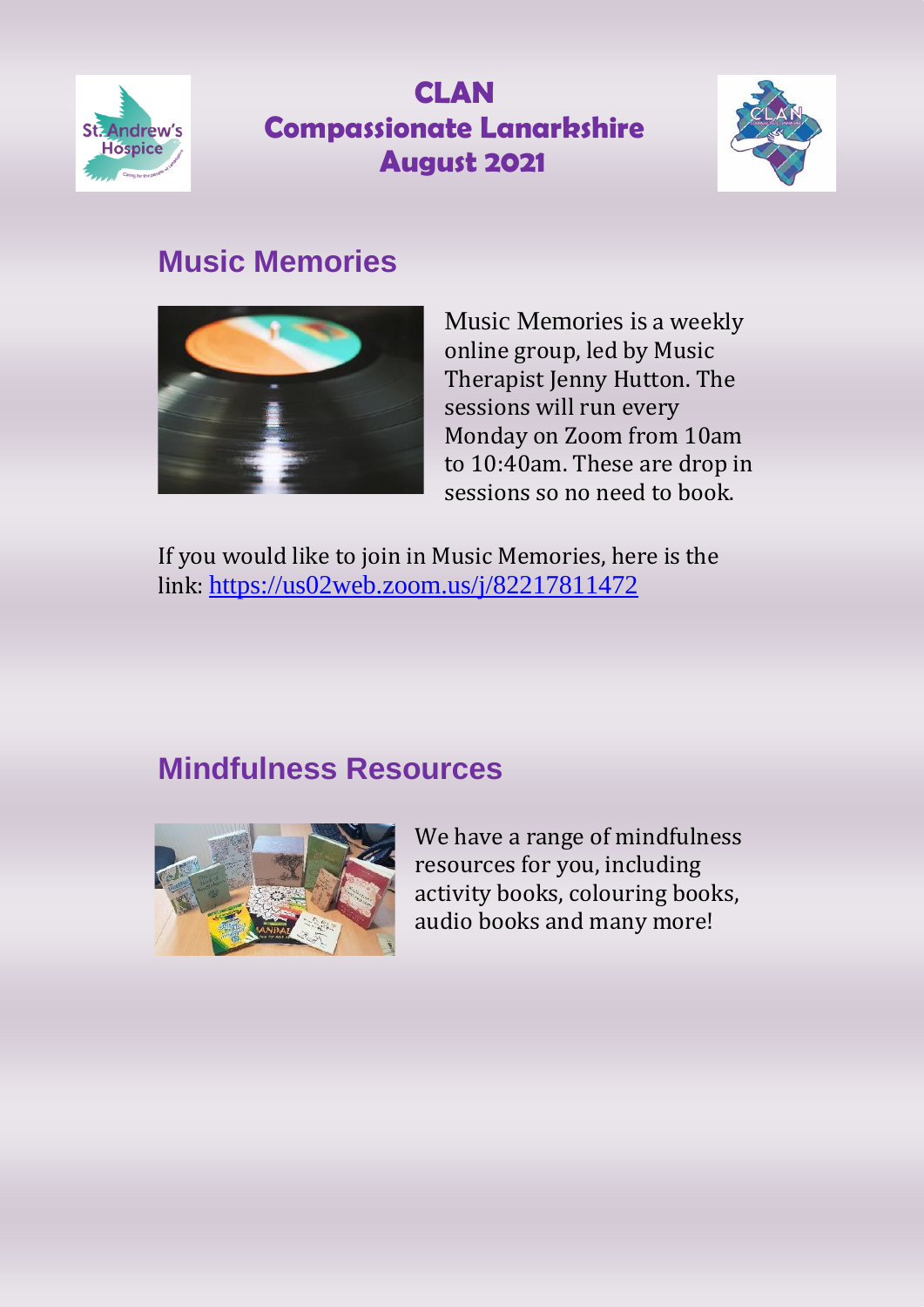



## **Music Memories**



Music Memories is a weekly online group, led by Music Therapist Jenny Hutton. The sessions will run every Monday on Zoom from 10am to 10:40am. These are drop in sessions so no need to book.

If you would like to join in Music Memories, here is the link: <https://us02web.zoom.us/j/82217811472>

## **Mindfulness Resources**



We have a range of mindfulness resources for you, including activity books, colouring books, audio books and many more!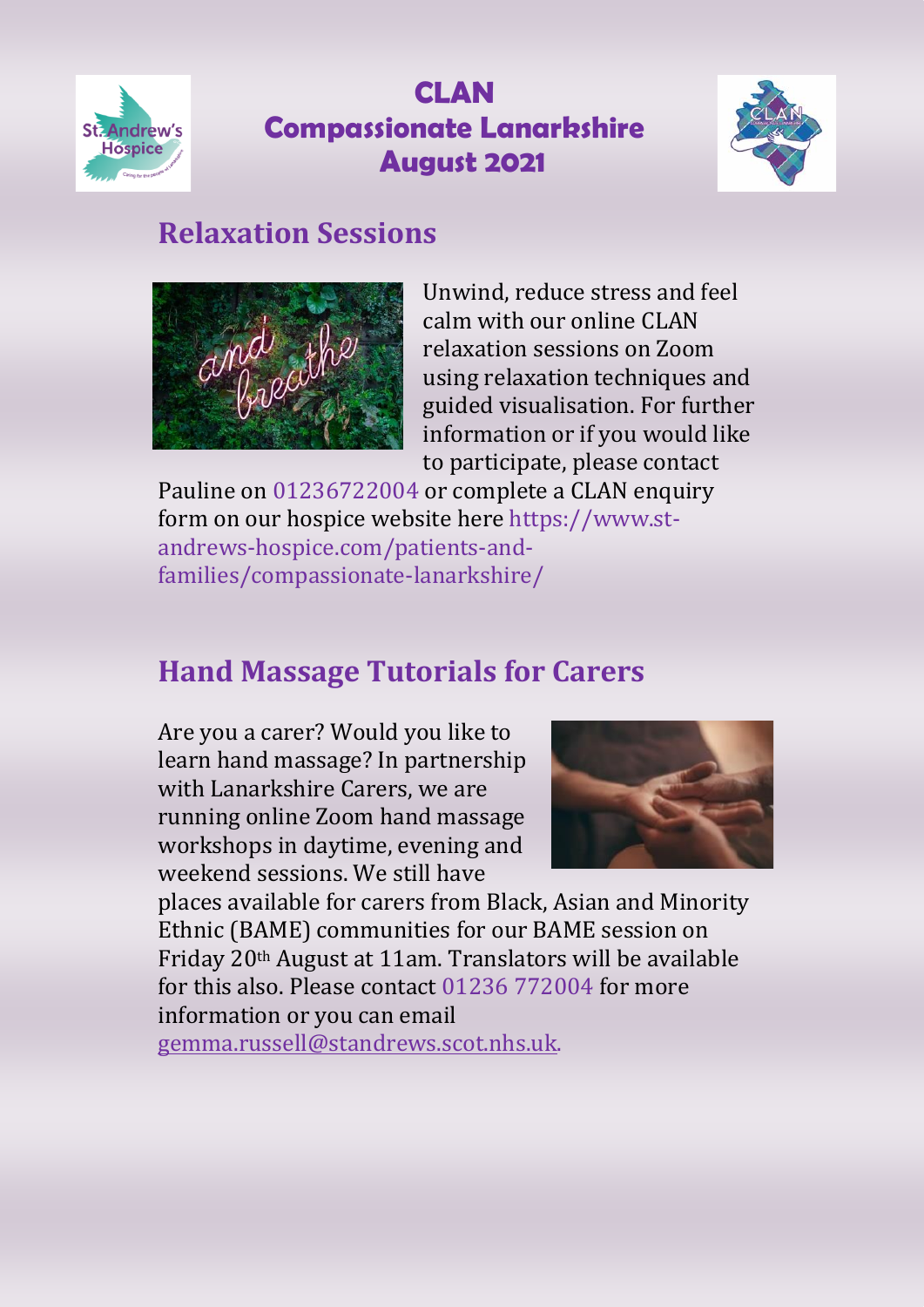



### **Relaxation Sessions**



Unwind, reduce stress and feel calm with our online CLAN relaxation sessions on Zoom using relaxation techniques and guided visualisation. For further information or if you would like to participate, please contact

Pauline on 01236722004 or complete a CLAN enquiry form on our hospice website here https://www.standrews-hospice.com/patients-andfamilies/compassionate-lanarkshire/

# **Hand Massage Tutorials for Carers**

Are you a carer? Would you like to learn hand massage? In partnership with Lanarkshire Carers, we are running online Zoom hand massage workshops in daytime, evening and weekend sessions. We still have



places available for carers from Black, Asian and Minority Ethnic (BAME) communities for our BAME session on Friday 20th August at 11am. Translators will be available for this also. Please contact 01236 772004 for more information or you can email [gemma.russell@standrews.scot.nhs.uk.](mailto:gemma.russell@standrews.scot.nhs.uk)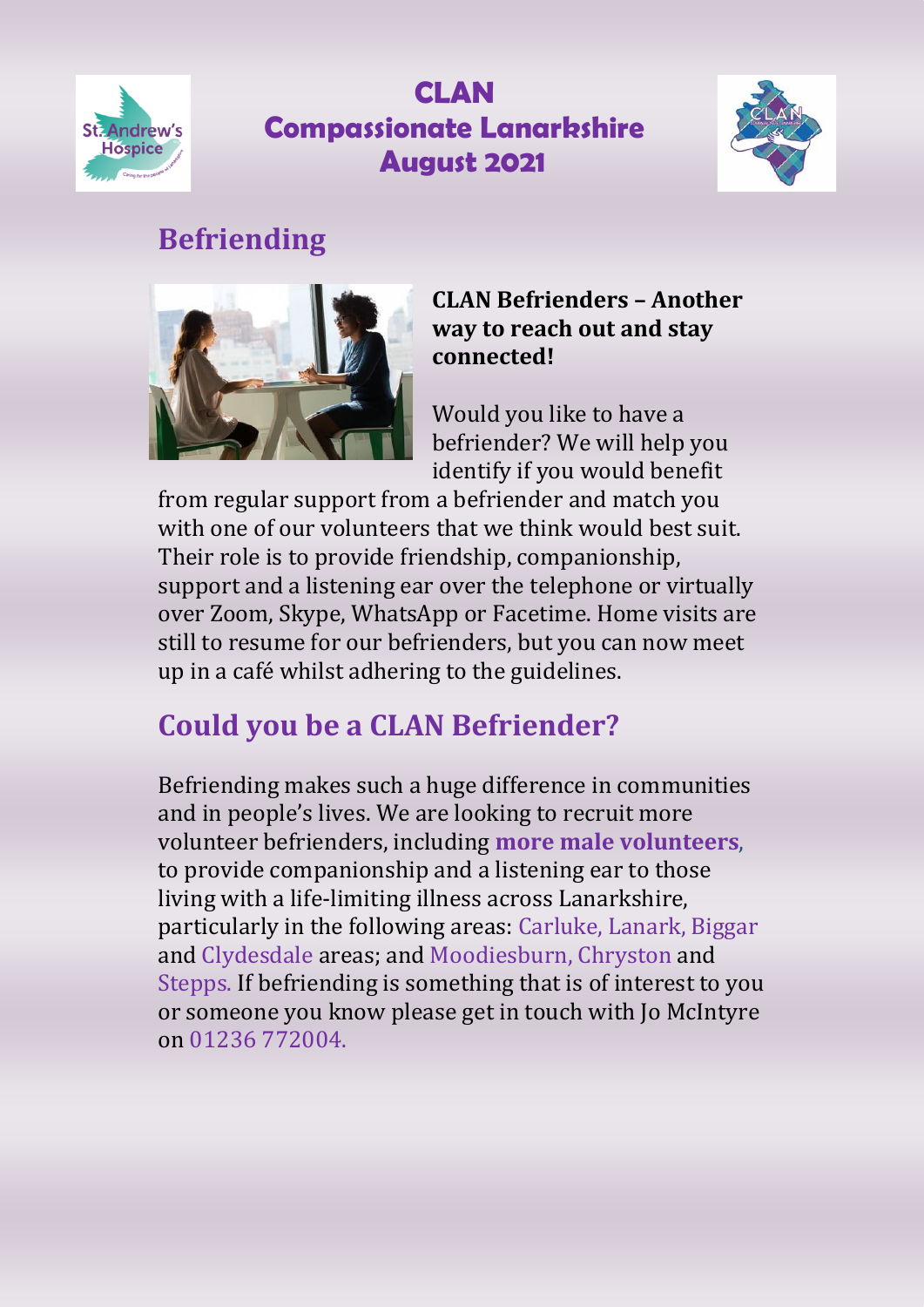



# **Befriending**



#### **CLAN Befrienders – Another way to reach out and stay connected!**

Would you like to have a befriender? We will help you identify if you would benefit

from regular support from a befriender and match you with one of our volunteers that we think would best suit. Their role is to provide friendship, companionship, support and a listening ear over the telephone or virtually over Zoom, Skype, WhatsApp or Facetime. Home visits are still to resume for our befrienders, but you can now meet up in a café whilst adhering to the guidelines.

# **Could you be a CLAN Befriender?**

Befriending makes such a huge difference in communities and in people's lives. We are looking to recruit more volunteer befrienders, including **more male volunteers**, to provide companionship and a listening ear to those living with a life-limiting illness across Lanarkshire, particularly in the following areas: Carluke, Lanark, Biggar and Clydesdale areas; and Moodiesburn, Chryston and Stepps. If befriending is something that is of interest to you or someone you know please get in touch with Jo McIntyre on 01236 772004.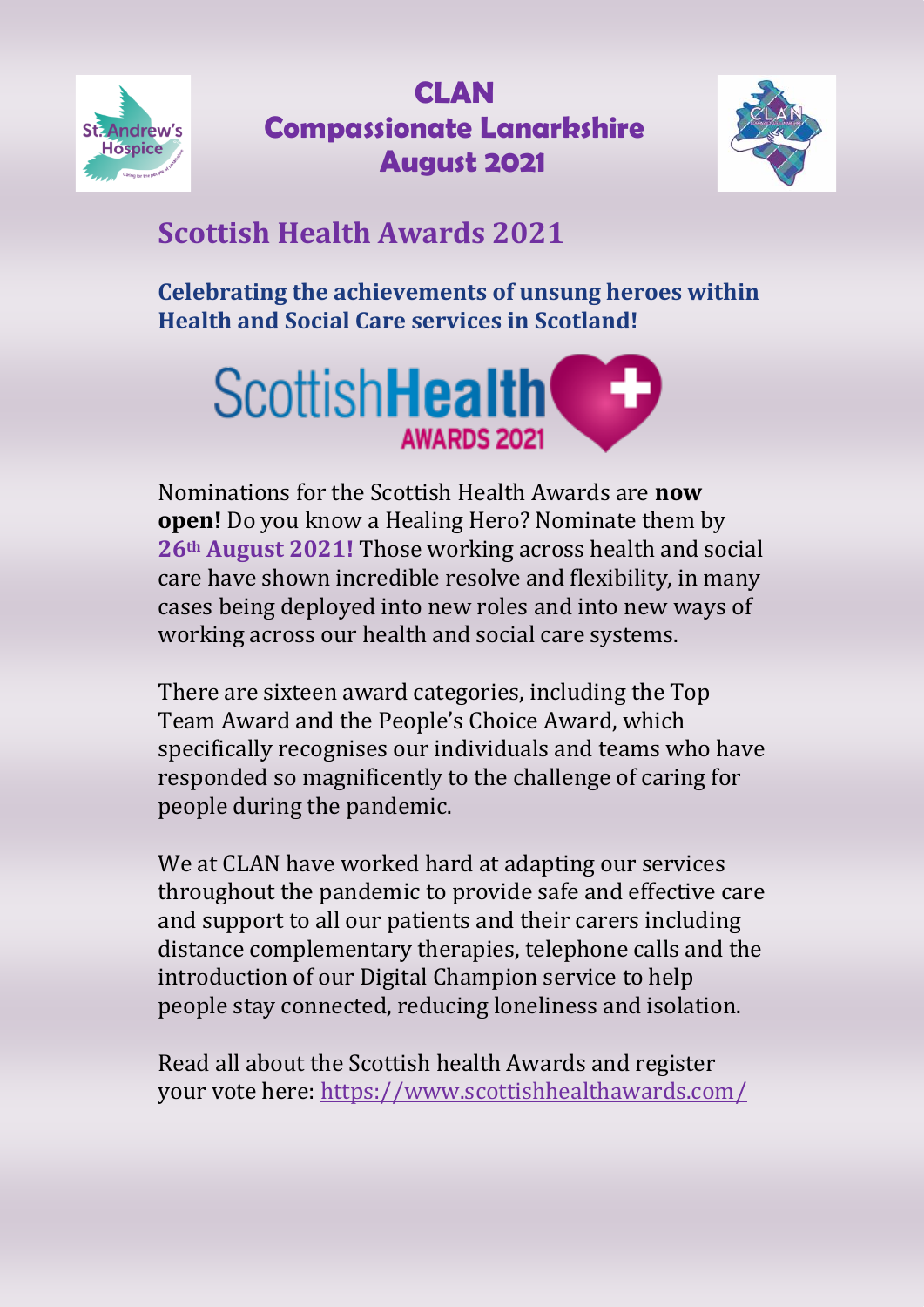



# **Scottish Health Awards 2021**

**Celebrating the achievements of unsung heroes within Health and Social Care services in Scotland!**



Nominations for the Scottish Health Awards are **now open!** Do you know a Healing Hero? Nominate them by **26th August 2021!** Those working across health and social care have shown incredible resolve and flexibility, in many cases being deployed into new roles and into new ways of working across our health and social care systems.

There are sixteen award categories, including the Top Team Award and the People's Choice Award, which specifically recognises our individuals and teams who have responded so magnificently to the challenge of caring for people during the pandemic.

We at CLAN have worked hard at adapting our services throughout the pandemic to provide safe and effective care and support to all our patients and their carers including distance complementary therapies, telephone calls and the introduction of our Digital Champion service to help people stay connected, reducing loneliness and isolation.

Read all about the Scottish health Awards and register your vote here:<https://www.scottishhealthawards.com/>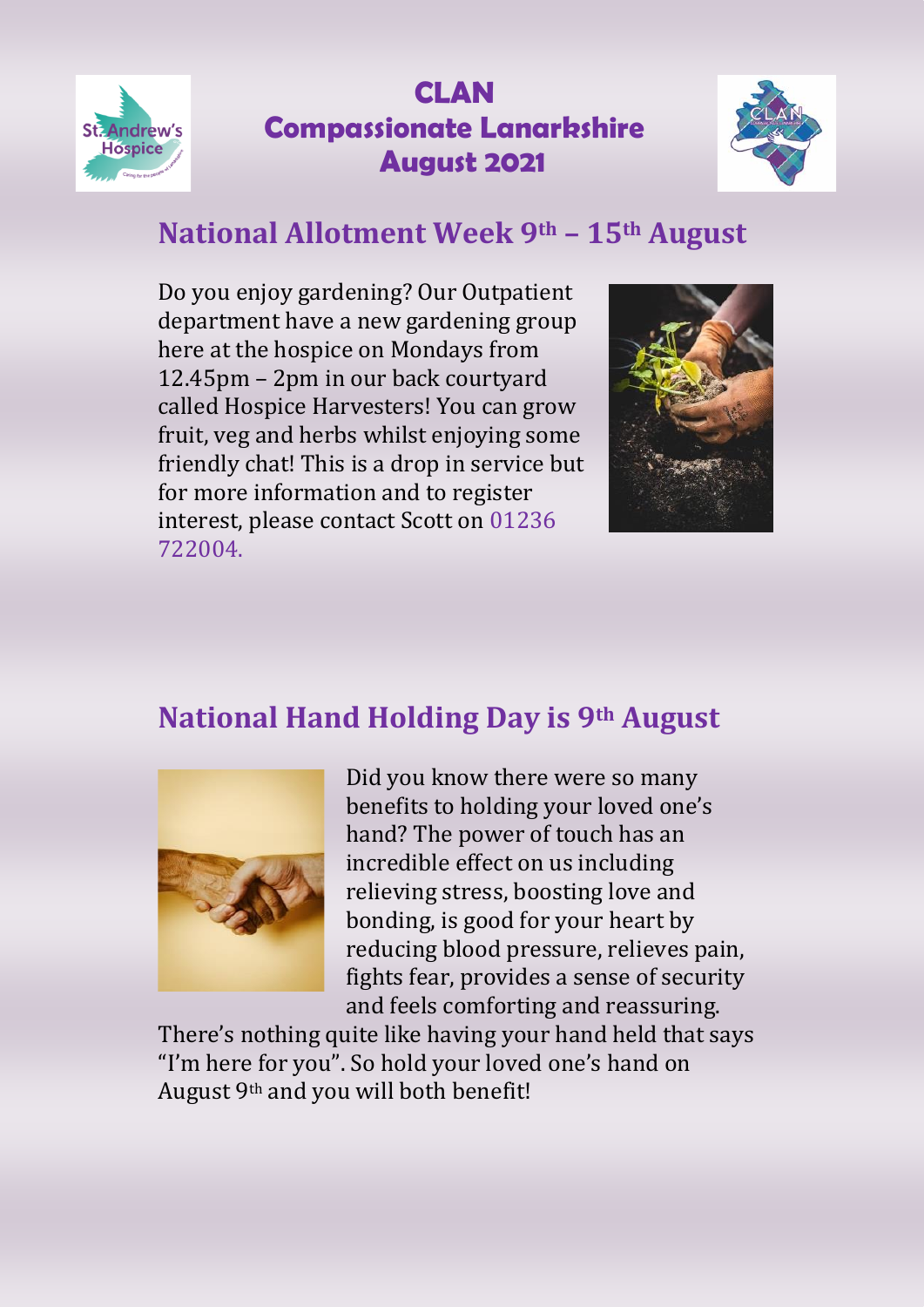



# **National Allotment Week 9th – 15th August**

Do you enjoy gardening? Our Outpatient department have a new gardening group here at the hospice on Mondays from 12.45pm – 2pm in our back courtyard called Hospice Harvesters! You can grow fruit, veg and herbs whilst enjoying some friendly chat! This is a drop in service but for more information and to register interest, please contact Scott on 01236 722004.



## **National Hand Holding Day is 9th August**



Did you know there were so many benefits to holding your loved one's hand? The power of touch has an incredible effect on us including relieving stress, boosting love and bonding, is good for your heart by reducing blood pressure, relieves pain, fights fear, provides a sense of security and feels comforting and reassuring.

There's nothing quite like having your hand held that says "I'm here for you". So hold your loved one's hand on August 9th and you will both benefit!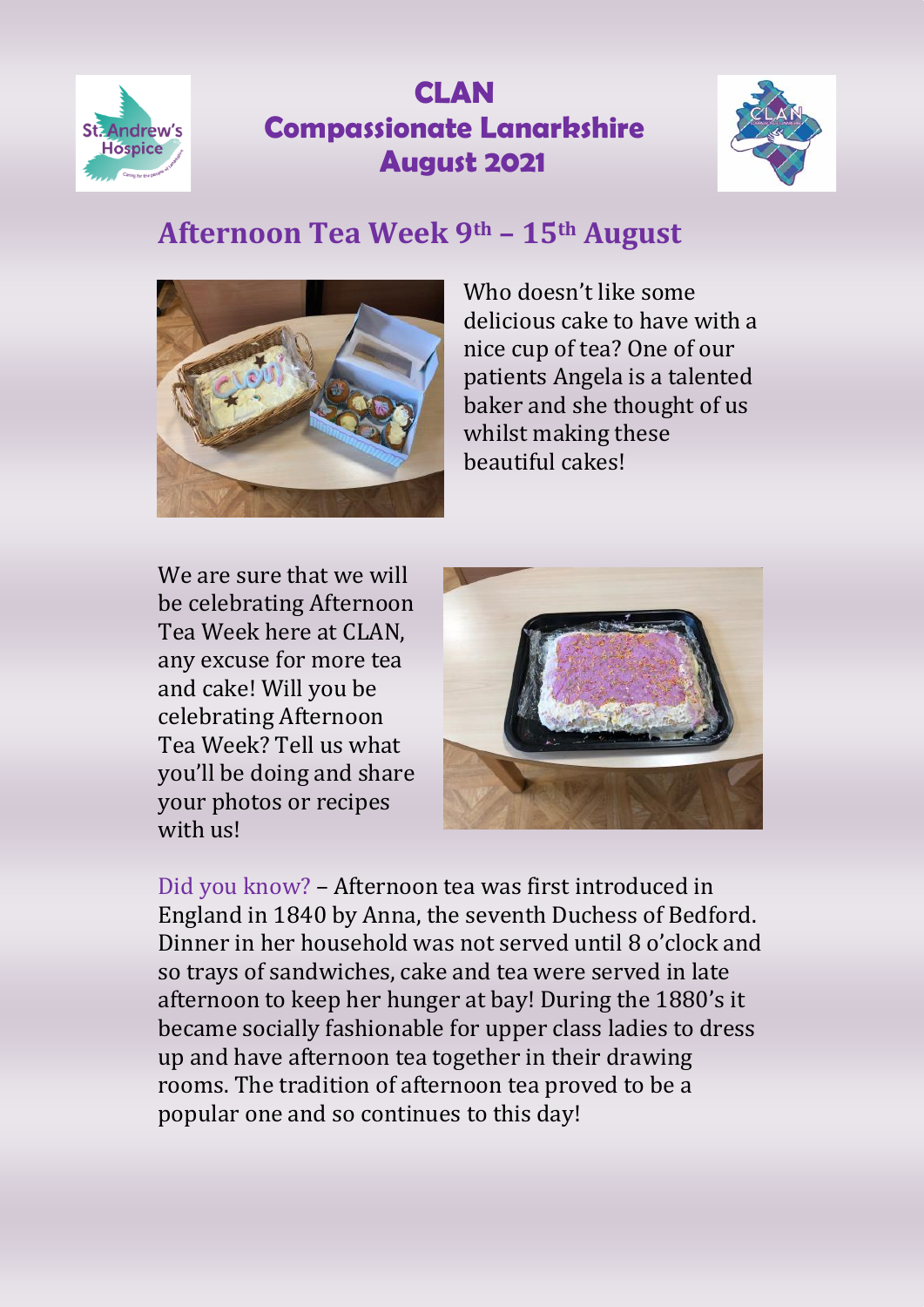



## **Afternoon Tea Week 9th – 15th August**



Who doesn't like some delicious cake to have with a nice cup of tea? One of our patients Angela is a talented baker and she thought of us whilst making these beautiful cakes!

We are sure that we will be celebrating Afternoon Tea Week here at CLAN, any excuse for more tea and cake! Will you be celebrating Afternoon Tea Week? Tell us what you'll be doing and share your photos or recipes with us!



Did you know? – Afternoon tea was first introduced in England in 1840 by Anna, the seventh Duchess of Bedford. Dinner in her household was not served until 8 o'clock and so trays of sandwiches, cake and tea were served in late afternoon to keep her hunger at bay! During the 1880's it became socially fashionable for upper class ladies to dress up and have afternoon tea together in their drawing rooms. The tradition of afternoon tea proved to be a popular one and so continues to this day!